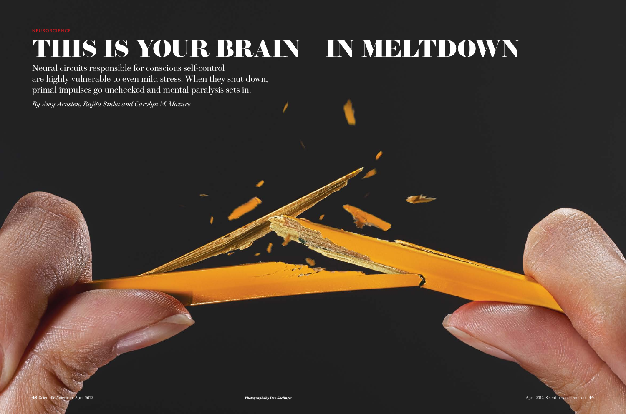# **This Is Your Brain in Meltdown**

Neural circuits responsible for conscious self-control are highly vulnerable to even mild stress. When they shut down, primal impulses go unchecked and mental paralysis sets in.

*By Amy Arnsten, Rajita Sinha and Carolyn M. Mazure*

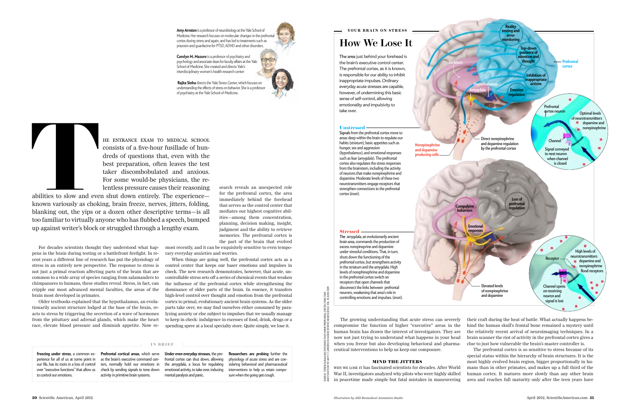The growing understanding that acute stress can severely compromise the function of higher "executive" areas in the human brain has drawn the interest of investigators. They are now not just trying to understand what happens in your head when you freeze but also developing behavioral and pharmaceutical interventions to help us keep our composure.

## **Mind the Jitters**

why we lose it has fascinated scientists for decades. After World War II, investigators analyzed why pilots who were highly skilled in peacetime made simple but fatal mistakes in maneuvering

their craft during the heat of battle. What actually happens behind the human skull's frontal bone remained a mystery until the relatively recent arrival of neuroimaging techniques. In a brain scanner the riot of activity in the prefrontal cortex gives a clue to just how vulnerable the brain's master controller is.

The prefrontal cortex is so sensitive to stress because of its special status within the hierarchy of brain structures. It is the most highly evolved brain region, bigger proportionally in humans than in other primates, and makes up a full third of the human cortex. It matures more slowly than any other brain area and reaches full maturity only after the teen years have

Source: "Stress signalling pathways that impair prefrontal cortex structure and function," by amy f. t. arnsten in *Nature Reviews Neuroscience,* vol. 10; june 2009

CORTEX STRUCTURE<br>CIENCE, VOL. 10; JUNE 2

For decades scientists thought they understood what happens in the brain during testing or a battlefront firefight. In recent years a different line of research has put the physiology of stress in an entirely new perspective. The response to stress is not just a primal reaction affecting parts of the brain that are common to a wide array of species ranging from salamanders to chimpanzees to humans, these studies reveal. Stress, in fact, can cripple our most advanced mental faculties, the areas of the brain most developed in primates.

THE ENTRANCE EXAM TO MEDICAL SCHOOL consists of a five-hour fusillade of hundreds of questions that, even with the best preparation, often leaves the test taker discombobulated and anxious. For some would-be physicians, th consists of a five-hour fusillade of hundreds of questions that, even with the best preparation, often leaves the test taker discombobulated and anxious. For some would-be physicians, the relentless pressure causes their reasoning

Older textbooks explained that the hypothalamus, an evolutionarily ancient structure lodged at the base of the brain, reacts to stress by triggering the secretion of a wave of hormones from the pituitary and adrenal glands, which make the heart race, elevate blood pressure and diminish appetite. Now research reveals an unexpected role for the prefrontal cortex, the area immediately behind the forehead that serves as the control center that mediates our highest cognitive abilities—among them concentration, planning, decision making, insight, judgment and the ability to retrieve memories. The prefrontal cortex is the part of the brain that evolved

most recently, and it can be exquisitely sensitive to even temporary everyday anxieties and worries.

Signals from the prefrontal cortex move to areas deep within the brain to regulate our habits (*striatum*), basic appetites such as hunger, sex and aggression (*hypothalamus*), and emotional responses such as fear (*amygdala*). The prefrontal cortex also regulates the stress responses from the brainstem, including the activity of neurons that make norepinephrine and dopamine. Moderate levels of these two neurotransmitters engage receptors that strengthen connections to the prefrontal cortex (*inset*).

When things are going well, the prefrontal cortex acts as a control center that keeps our baser emotions and impulses in check. The new research demonstrates, however, that acute, uncontrollable stress sets off a series of chemical events that weaken the influence of the prefrontal cortex while strengthening the dominance of older parts of the brain. In essence, it transfers high-level control over thought and emotion from the prefrontal cortex to primal, evolutionary ancient brain systems. As the older parts take over, we may find ourselves either consumed by paralyzing anxiety or else subject to impulses that we usually manage to keep in check: indulgence in excesses of food, drink, drugs or a spending spree at a local specialty store. Quite simply, we lose it.

**Norepinephrine and dopamine producing cell** 

abilities to slow and even shut down entirely. The experience known variously as choking, brain freeze, nerves, jitters, folding, blanking out, the yips or a dozen other descriptive terms—is all too familiar to virtually anyone who has flubbed a speech, bumped up against writer's block or struggled through a lengthy exam.

#### **in brief**

**Freezing under stress**, a common ex-**Prefrontal cortical areas**, which serve **Under even everyday stresses**, the preperience for all of us at some point in as the brain's executive command cen-frontal cortex can shut down, allowing our life, has its roots in a loss of control over "executive functions" that allow us check by sending signals to tone down to control our emotions.

ters, normally hold our emotions in the amygdala, a locus for regulating activity in primitive brain systems.

emotional activity, to take over, inducing mental paralysis and panic.

**Researchers are probing** further the physiology of acute stress and are considering behavioral and pharmaceutical interventions to help us retain composure when the going gets tough.

YOUR BRAIN ON STRESS

**Amy Arnsten** is a professor of neurobiology at the Yale School of Medicine. Her research focuses on molecular changes in the prefrontal cortex during stress and again, and has led to treatments such as prazosin and guanfacine for PTSD, ADHD and other disorders.

**Rajita Sinha** directs the Yale Stress Center, which focuses on understanding the effects of stress on behavior. She is a professor of psychiatry at the Yale School of Medicine.



**Carolyn M. Mazure** is a professor of psychiatry and psychology and associate dean for faculty affairs at the Yale School of Medicine. She created and directs Yale's interdisciplinary women's health research center

#### **Unstressed**

#### **Stressed**

The amygdala, an evolutionarily ancient brain area, commands the production of excess norepineprine and dopamine under stressful conditions. That, in turn, shuts down the functioning of the prefrontal cortex, but strengthens activity in the striatum and the amygdala. High levels of norephinephrine and dopamine in the prefrontal cortex switch on receptors that open channels that disconnect the links between prefrontal neurons, weakening that area's role in controlling emotions and impulses. (*inset*).

# How We Lose It

The area just behind your forehead is the brain's executive control center. The prefrontal cortex, as it is known, is responsible for our ability to inhibit inappropriate impulses. Ordinary everyday acute stresses are capable, however, of undermining this basic sense of self-control, allowing emotionality and impulsivity to take over.



**Striatum**

**Compulsive behaviors**